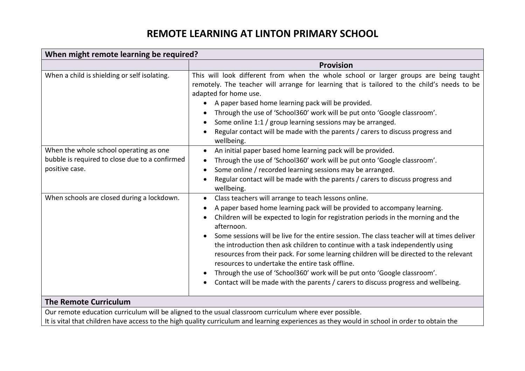# **REMOTE LEARNING AT LINTON PRIMARY SCHOOL**

| When might remote learning be required?                                                                    |                                                                                                                                                                                                                                                                                                                                                                                                                                                                                                                                                                                                                                                                                                                                                                           |  |  |
|------------------------------------------------------------------------------------------------------------|---------------------------------------------------------------------------------------------------------------------------------------------------------------------------------------------------------------------------------------------------------------------------------------------------------------------------------------------------------------------------------------------------------------------------------------------------------------------------------------------------------------------------------------------------------------------------------------------------------------------------------------------------------------------------------------------------------------------------------------------------------------------------|--|--|
|                                                                                                            | <b>Provision</b>                                                                                                                                                                                                                                                                                                                                                                                                                                                                                                                                                                                                                                                                                                                                                          |  |  |
| When a child is shielding or self isolating.                                                               | This will look different from when the whole school or larger groups are being taught<br>remotely. The teacher will arrange for learning that is tailored to the child's needs to be<br>adapted for home use.<br>A paper based home learning pack will be provided.<br>Through the use of 'School360' work will be put onto 'Google classroom'.<br>$\bullet$<br>Some online 1:1 / group learning sessions may be arranged.<br>$\bullet$<br>Regular contact will be made with the parents / carers to discuss progress and<br>wellbeing.                                                                                                                                                                                                                                   |  |  |
| When the whole school operating as one<br>bubble is required to close due to a confirmed<br>positive case. | An initial paper based home learning pack will be provided.<br>$\bullet$<br>Through the use of 'School360' work will be put onto 'Google classroom'.<br>$\bullet$<br>Some online / recorded learning sessions may be arranged.<br>$\bullet$<br>Regular contact will be made with the parents / carers to discuss progress and<br>$\bullet$<br>wellbeing.                                                                                                                                                                                                                                                                                                                                                                                                                  |  |  |
| When schools are closed during a lockdown.                                                                 | Class teachers will arrange to teach lessons online.<br>$\bullet$<br>A paper based home learning pack will be provided to accompany learning.<br>$\bullet$<br>Children will be expected to login for registration periods in the morning and the<br>afternoon.<br>Some sessions will be live for the entire session. The class teacher will at times deliver<br>the introduction then ask children to continue with a task independently using<br>resources from their pack. For some learning children will be directed to the relevant<br>resources to undertake the entire task offline.<br>Through the use of 'School360' work will be put onto 'Google classroom'.<br>$\bullet$<br>Contact will be made with the parents / carers to discuss progress and wellbeing. |  |  |
| <b>The Remote Curriculum</b>                                                                               |                                                                                                                                                                                                                                                                                                                                                                                                                                                                                                                                                                                                                                                                                                                                                                           |  |  |
|                                                                                                            | Our remote education curriculum will be aligned to the usual classroom curriculum where ever possible.                                                                                                                                                                                                                                                                                                                                                                                                                                                                                                                                                                                                                                                                    |  |  |

It is vital that children have access to the high quality curriculum and learning experiences as they would in school in order to obtain the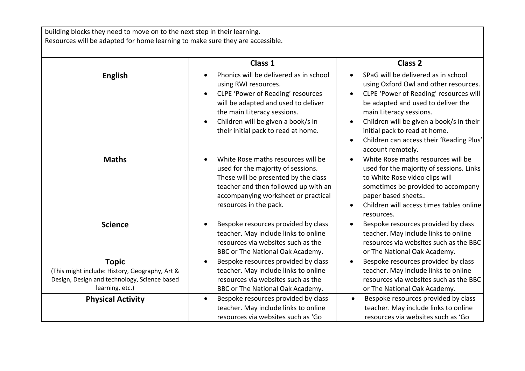building blocks they need to move on to the next step in their learning. Resources will be adapted for home learning to make sure they are accessible.

|                                                                                                                                   | Class 1                                                                                                                                                                                                                                                | Class <sub>2</sub>                                                                                                                                                                                                                                                                                                                                                                        |
|-----------------------------------------------------------------------------------------------------------------------------------|--------------------------------------------------------------------------------------------------------------------------------------------------------------------------------------------------------------------------------------------------------|-------------------------------------------------------------------------------------------------------------------------------------------------------------------------------------------------------------------------------------------------------------------------------------------------------------------------------------------------------------------------------------------|
| <b>English</b>                                                                                                                    | Phonics will be delivered as in school<br>using RWI resources.<br>CLPE 'Power of Reading' resources<br>will be adapted and used to deliver<br>the main Literacy sessions.<br>Children will be given a book/s in<br>their initial pack to read at home. | SPaG will be delivered as in school<br>$\bullet$<br>using Oxford Owl and other resources.<br>CLPE 'Power of Reading' resources will<br>$\bullet$<br>be adapted and used to deliver the<br>main Literacy sessions.<br>Children will be given a book/s in their<br>$\bullet$<br>initial pack to read at home.<br>Children can access their 'Reading Plus'<br>$\bullet$<br>account remotely. |
| <b>Maths</b>                                                                                                                      | White Rose maths resources will be<br>$\bullet$<br>used for the majority of sessions.<br>These will be presented by the class<br>teacher and then followed up with an<br>accompanying worksheet or practical<br>resources in the pack.                 | White Rose maths resources will be<br>$\bullet$<br>used for the majority of sessions. Links<br>to White Rose video clips will<br>sometimes be provided to accompany<br>paper based sheets<br>Children will access times tables online<br>resources.                                                                                                                                       |
| <b>Science</b>                                                                                                                    | Bespoke resources provided by class<br>$\bullet$<br>teacher. May include links to online<br>resources via websites such as the<br>BBC or The National Oak Academy.                                                                                     | Bespoke resources provided by class<br>$\bullet$<br>teacher. May include links to online<br>resources via websites such as the BBC<br>or The National Oak Academy.                                                                                                                                                                                                                        |
| <b>Topic</b><br>(This might include: History, Geography, Art &<br>Design, Design and technology, Science based<br>learning, etc.) | Bespoke resources provided by class<br>$\bullet$<br>teacher. May include links to online<br>resources via websites such as the<br>BBC or The National Oak Academy.                                                                                     | Bespoke resources provided by class<br>$\bullet$<br>teacher. May include links to online<br>resources via websites such as the BBC<br>or The National Oak Academy.                                                                                                                                                                                                                        |
| <b>Physical Activity</b>                                                                                                          | Bespoke resources provided by class<br>$\bullet$<br>teacher. May include links to online<br>resources via websites such as 'Go                                                                                                                         | Bespoke resources provided by class<br>$\bullet$<br>teacher. May include links to online<br>resources via websites such as 'Go                                                                                                                                                                                                                                                            |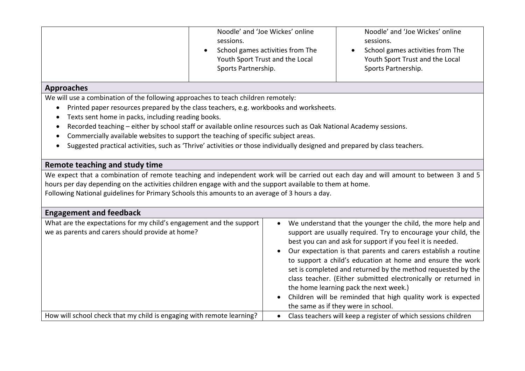|                                                                                                                                                                                                                                                                                                                                                                                                                                                                                                                                                                                       | Noodle' and 'Joe Wickes' online<br>sessions.<br>School games activities from The<br>Youth Sport Trust and the Local<br>Sports Partnership. | Noodle' and 'Joe Wickes' online<br>sessions.<br>School games activities from The<br>Youth Sport Trust and the Local<br>Sports Partnership.                                                                                                                                                                                                                                                                                                                                                                                                                                                                     |  |  |
|---------------------------------------------------------------------------------------------------------------------------------------------------------------------------------------------------------------------------------------------------------------------------------------------------------------------------------------------------------------------------------------------------------------------------------------------------------------------------------------------------------------------------------------------------------------------------------------|--------------------------------------------------------------------------------------------------------------------------------------------|----------------------------------------------------------------------------------------------------------------------------------------------------------------------------------------------------------------------------------------------------------------------------------------------------------------------------------------------------------------------------------------------------------------------------------------------------------------------------------------------------------------------------------------------------------------------------------------------------------------|--|--|
| <b>Approaches</b>                                                                                                                                                                                                                                                                                                                                                                                                                                                                                                                                                                     |                                                                                                                                            |                                                                                                                                                                                                                                                                                                                                                                                                                                                                                                                                                                                                                |  |  |
| We will use a combination of the following approaches to teach children remotely:<br>Printed paper resources prepared by the class teachers, e.g. workbooks and worksheets.<br>$\bullet$<br>Texts sent home in packs, including reading books.<br>Recorded teaching - either by school staff or available online resources such as Oak National Academy sessions.<br>Commercially available websites to support the teaching of specific subject areas.<br>Suggested practical activities, such as 'Thrive' activities or those individually designed and prepared by class teachers. |                                                                                                                                            |                                                                                                                                                                                                                                                                                                                                                                                                                                                                                                                                                                                                                |  |  |
| <b>Remote teaching and study time</b>                                                                                                                                                                                                                                                                                                                                                                                                                                                                                                                                                 |                                                                                                                                            |                                                                                                                                                                                                                                                                                                                                                                                                                                                                                                                                                                                                                |  |  |
| We expect that a combination of remote teaching and independent work will be carried out each day and will amount to between 3 and 5<br>hours per day depending on the activities children engage with and the support available to them at home.<br>Following National guidelines for Primary Schools this amounts to an average of 3 hours a day.                                                                                                                                                                                                                                   |                                                                                                                                            |                                                                                                                                                                                                                                                                                                                                                                                                                                                                                                                                                                                                                |  |  |
| <b>Engagement and feedback</b>                                                                                                                                                                                                                                                                                                                                                                                                                                                                                                                                                        |                                                                                                                                            |                                                                                                                                                                                                                                                                                                                                                                                                                                                                                                                                                                                                                |  |  |
| What are the expectations for my child's engagement and the support<br>we as parents and carers should provide at home?                                                                                                                                                                                                                                                                                                                                                                                                                                                               | $\bullet$                                                                                                                                  | We understand that the younger the child, the more help and<br>support are usually required. Try to encourage your child, the<br>best you can and ask for support if you feel it is needed.<br>Our expectation is that parents and carers establish a routine<br>to support a child's education at home and ensure the work<br>set is completed and returned by the method requested by the<br>class teacher. (Either submitted electronically or returned in<br>the home learning pack the next week.)<br>Children will be reminded that high quality work is expected<br>the same as if they were in school. |  |  |
| How will school check that my child is engaging with remote learning?                                                                                                                                                                                                                                                                                                                                                                                                                                                                                                                 | $\bullet$                                                                                                                                  | Class teachers will keep a register of which sessions children                                                                                                                                                                                                                                                                                                                                                                                                                                                                                                                                                 |  |  |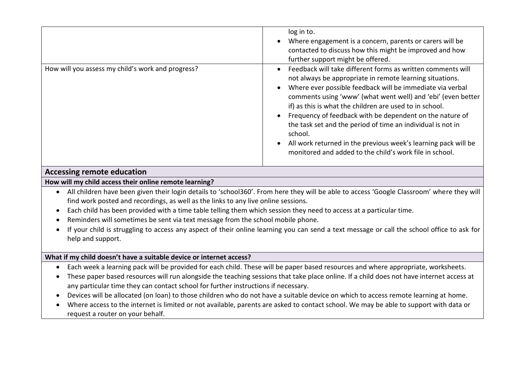|                                                   | log in to.<br>Where engagement is a concern, parents or carers will be<br>contacted to discuss how this might be improved and how<br>further support might be offered.                                                                                                                                                                                                                                                                                                                                                                                                             |
|---------------------------------------------------|------------------------------------------------------------------------------------------------------------------------------------------------------------------------------------------------------------------------------------------------------------------------------------------------------------------------------------------------------------------------------------------------------------------------------------------------------------------------------------------------------------------------------------------------------------------------------------|
| How will you assess my child's work and progress? | Feedback will take different forms as written comments will<br>not always be appropriate in remote learning situations.<br>Where ever possible feedback will be immediate via verbal<br>comments using 'www' (what went well) and 'ebi' (even better<br>if) as this is what the children are used to in school.<br>Frequency of feedback with be dependent on the nature of<br>the task set and the period of time an individual is not in<br>school.<br>All work returned in the previous week's learning pack will be<br>monitored and added to the child's work file in school. |

## **Accessing remote education**

#### **How will my child access their online remote learning?**

- All children have been given their login details to 'school360'. From here they will be able to access 'Google Classroom' where they will find work posted and recordings, as well as the links to any live online sessions.
- Each child has been provided with a time table telling them which session they need to access at a particular time.
- Reminders will sometimes be sent via text message from the school mobile phone.
- If your child is struggling to access any aspect of their online learning you can send a text message or call the school office to ask for help and support.

#### **What if my child doesn't have a suitable device or internet access?**

- Each week a learning pack will be provided for each child. These will be paper based resources and where appropriate, worksheets.
- These paper based resources will run alongside the teaching sessions that take place online. If a child does not have internet access at any particular time they can contact school for further instructions if necessary.
- Devices will be allocated (on loan) to those children who do not have a suitable device on which to access remote learning at home.
- Where access to the internet is limited or not available, parents are asked to contact school. We may be able to support with data or request a router on your behalf.